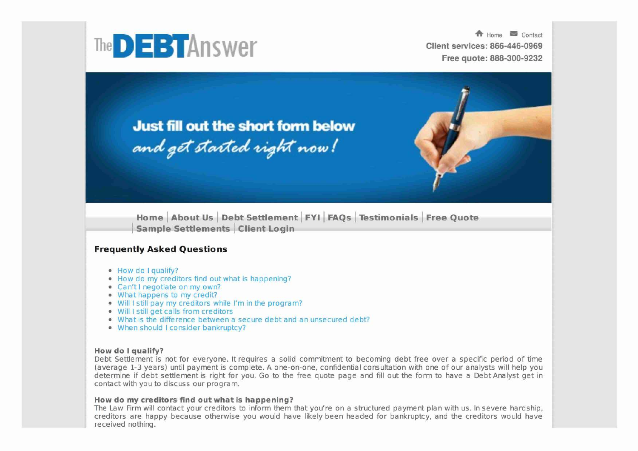

**4** Home > Contact Free quote: 888-300-9232



**Just fill out the short form below** and get started right now!

Home About Us Debt Settlement FYI FAQs Testimonials Free Quote Sample Settlements Client Login

### Frequently Asked Questions

- How do I qualify?
- How do my creditors find out what is happening?
- Can't I negotiate on my own?
- What happens to my credit?
- Will I still pay my creditors while I'm in the program?
- Will I still get calls from creditors
- What is the difference between a secure debt and an unsecured debt?
- When should I consider bankruptcy?

#### How do I qualify?

Debt Settlement is not for everyone. It requires a solid commitment to becoming debt free over a specific period of time (average 1-3 years) until payment is complete. A one-on-one, confidential consultation with one of our analysts will help you determine if debt settlement is right for you. Go to the free quote page and fill out the form to have a Debt Analyst get in contact with you to discuss our program.

#### How do my creditors find out what is happening?

The Law Firm will contact your creditors to inform them that you're on a structured payment plan with us. In severe hardship, creditors are happy because otherwise you would have likely been headed for bankruptcy, and the creditors would have received nothing.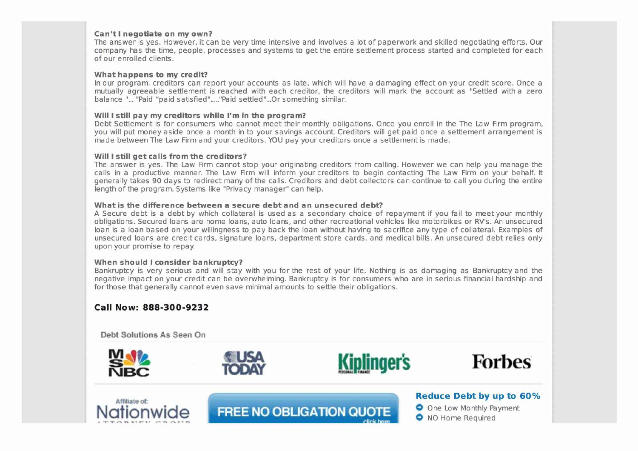#### **Can't I negotiate on my own?**

The answer is yes. However, it can be very time intensive and involves a lot of paperwork and skilled negotiating efforts. Our company has the time, people, processes and systems to get the entire settlement process started and completed for each of our enrolled clients.

#### **What happens to my credit?**

In our program, creditors can report your accounts as late, which will have a damaging effect on your credit score. Once a mutually agreeable settlement is reached with each creditor, the creditors will mark the account as "Settled with a zero balance "... "Paid "paid satisfied"....."Paid settled"...Or something similar.

#### **Will I still pay my creditors while I'm in the program?**

Debt Settlement is for consumers who cannot meet their monthly obligations. Once you enroll in the The Law Firm program, you will put money aside once a month in to your savings account. Creditors will get paid once a settlement arrangement is made between The Law Firm and your creditors. YOU pay your creditors once a settlement is made.

#### **Will I still get calls from the creditors?**

The answer is yes. The Law Firm cannot stop your originating creditors from calling. However we can help you manage the calls in a productive manner. The Law Firm will inform your creditors to begin contacting The Law Firm on your behalf. It generally takes 90 days to redirect many of the calls. Creditors and debt collectors can continue to call you during the entire length of the program. Systems like "Privacy manager" can help.

#### **What is the difference between a secure debt and an unsecured debt?**

A Secure debt is a debt by which collateral is used as a secondary choice of repayment if you fail to meetyour monthly obligations. Secured loans are home loans, auto loans, and other recreational vehicles like motorbikes or RV's. An unsecured loan is a loan based on your willingness to pay back the loan without having to sacrifice any type of collateral. Examples of unsecured loans are credit cards, signature loans, department store cards, and medical bills. An unsecured debt relies only upon your promise to repay.

#### **When should I consider bankruptcy?**

Bankruptcy is very serious and will stay with you for the rest of your life. Nothing is as damaging as Bankruptcy and the negative impact on your credit can be overwhelming. Bankruptcy is for consumers who are in serious financial hardship and for those that generally cannot even save minimal amounts to settle their obligations.

**FREE NO OBLIGATION QUOTE** 

## **C all Now: 888-300 - 9 2 3 2**

Debt Solutions As Seen On







# Affiliate of:<br> **Reduce Debt by up to 60%**<br> **Reduce Debt by up to 60%**<br> **C** One Low Monthly Payment

**0** NO Home Required